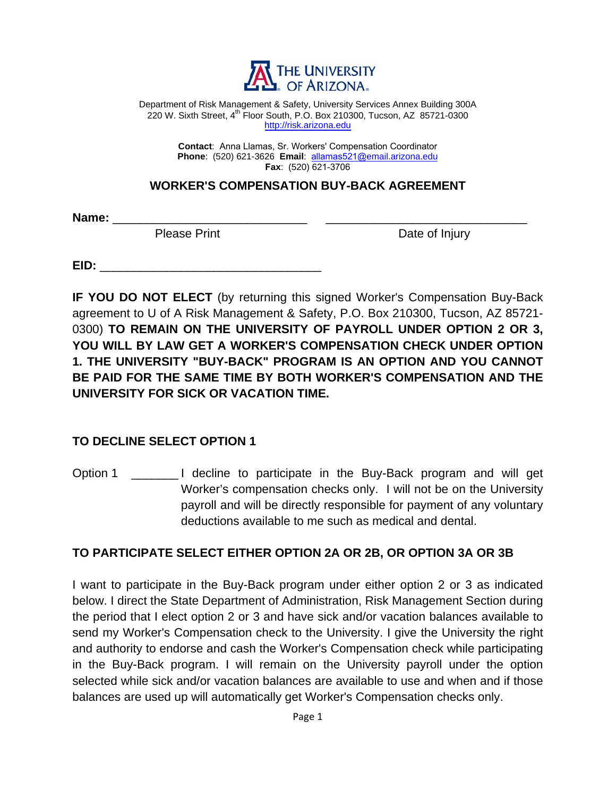

Department of Risk Management & Safety, University Services Annex Building 300A 220 W. Sixth Street, 4<sup>th</sup> Floor South, P.O. Box 210300, Tucson, AZ 85721-0300 http://risk.arizona.edu

> **Contact**: Anna Llamas, Sr. Workers' Compensation Coordinator **Phone**: (520) 621-3626 **Email**: allamas521@email.arizona.edu **Fax**: (520) 621-3706

## **WORKER'S COMPENSATION BUY-BACK AGREEMENT**

Name: \_\_\_\_\_\_\_

Please Print Date of Injury

**EID:** \_\_\_\_\_\_\_\_\_\_\_\_\_\_\_\_\_\_\_\_\_\_\_\_\_\_\_\_\_\_\_\_\_

**IF YOU DO NOT ELECT** (by returning this signed Worker's Compensation Buy-Back agreement to U of A Risk Management & Safety, P.O. Box 210300, Tucson, AZ 85721- 0300) **TO REMAIN ON THE UNIVERSITY OF PAYROLL UNDER OPTION 2 OR 3, YOU WILL BY LAW GET A WORKER'S COMPENSATION CHECK UNDER OPTION 1. THE UNIVERSITY "BUY-BACK" PROGRAM IS AN OPTION AND YOU CANNOT BE PAID FOR THE SAME TIME BY BOTH WORKER'S COMPENSATION AND THE UNIVERSITY FOR SICK OR VACATION TIME.**

## **TO DECLINE SELECT OPTION 1**

Option 1 \_\_\_\_\_\_\_ I decline to participate in the Buy-Back program and will get Worker's compensation checks only. I will not be on the University payroll and will be directly responsible for payment of any voluntary deductions available to me such as medical and dental.

## **TO PARTICIPATE SELECT EITHER OPTION 2A OR 2B, OR OPTION 3A OR 3B**

I want to participate in the Buy-Back program under either option 2 or 3 as indicated below. I direct the State Department of Administration, Risk Management Section during the period that I elect option 2 or 3 and have sick and/or vacation balances available to send my Worker's Compensation check to the University. I give the University the right and authority to endorse and cash the Worker's Compensation check while participating in the Buy-Back program. I will remain on the University payroll under the option selected while sick and/or vacation balances are available to use and when and if those balances are used up will automatically get Worker's Compensation checks only.